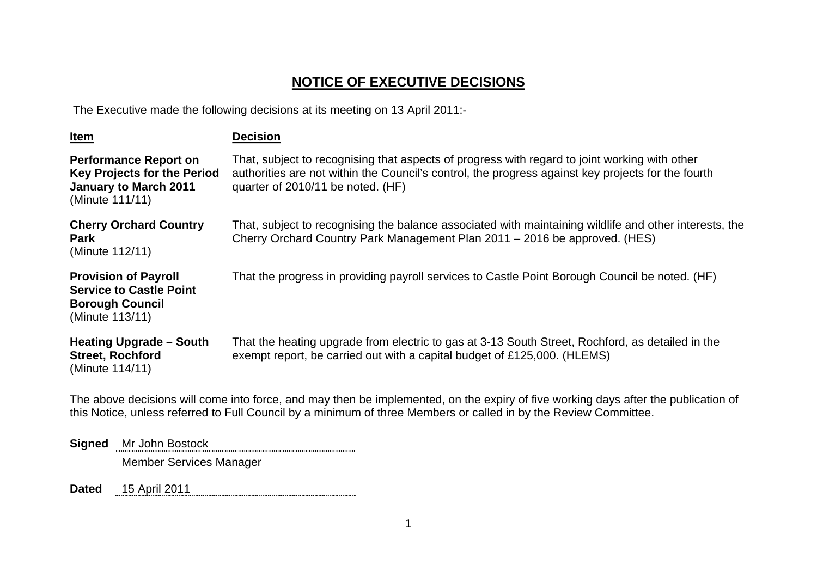## **NOTICE OF EXECUTIVE DECISIONS**

The Executive made the following decisions at its meeting on 13 April 2011:-

| <u>Item</u>                                                                                                           | <b>Decision</b>                                                                                                                                                                                                                          |
|-----------------------------------------------------------------------------------------------------------------------|------------------------------------------------------------------------------------------------------------------------------------------------------------------------------------------------------------------------------------------|
| <b>Performance Report on</b><br><b>Key Projects for the Period</b><br><b>January to March 2011</b><br>(Minute 111/11) | That, subject to recognising that aspects of progress with regard to joint working with other<br>authorities are not within the Council's control, the progress against key projects for the fourth<br>quarter of 2010/11 be noted. (HF) |
| <b>Cherry Orchard Country</b><br><b>Park</b><br>(Minute 112/11)                                                       | That, subject to recognising the balance associated with maintaining wildlife and other interests, the<br>Cherry Orchard Country Park Management Plan 2011 - 2016 be approved. (HES)                                                     |
| <b>Provision of Payroll</b><br><b>Service to Castle Point</b><br><b>Borough Council</b><br>(Minute 113/11)            | That the progress in providing payroll services to Castle Point Borough Council be noted. (HF)                                                                                                                                           |
| <b>Heating Upgrade - South</b><br><b>Street, Rochford</b><br>(Minute 114/11)                                          | That the heating upgrade from electric to gas at 3-13 South Street, Rochford, as detailed in the<br>exempt report, be carried out with a capital budget of £125,000. (HLEMS)                                                             |

The above decisions will come into force, and may then be implemented, on the expiry of five working days after the publication of this Notice, unless referred to Full Council by a minimum of three Members or called in by the Review Committee.

**Signed** Mr John Bostock Member Services Manager

**Dated** 15 April 2011